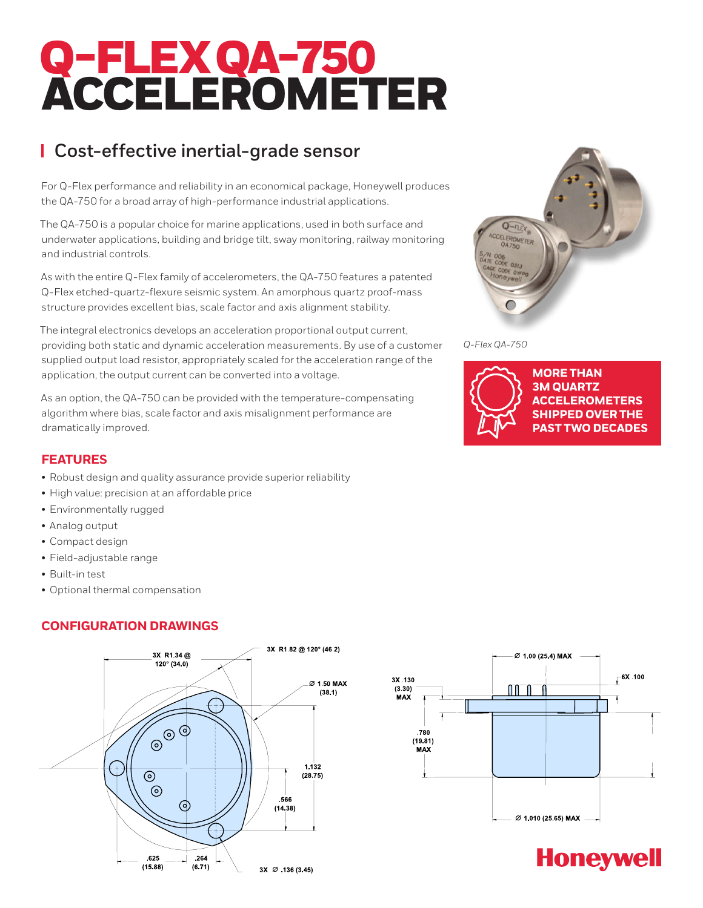# Q-FLEXQA-750 ACCELEROMETER

# **Cost-effective inertial-grade sensor**

For Q-Flex performance and reliability in an economical package, Honeywell produces the QA-750 for a broad array of high-performance industrial applications.

The QA-750 is a popular choice for marine applications, used in both surface and underwater applications, building and bridge tilt, sway monitoring, railway monitoring and industrial controls.

As with the entire Q-Flex family of accelerometers, the QA-750 features a patented Q-Flex etched-quartz-flexure seismic system. An amorphous quartz proof-mass structure provides excellent bias, scale factor and axis alignment stability.

The integral electronics develops an acceleration proportional output current, providing both static and dynamic acceleration measurements. By use of a customer supplied output load resistor, appropriately scaled for the acceleration range of the application, the output current can be converted into a voltage.

As an option, the QA-750 can be provided with the temperature-compensating algorithm where bias, scale factor and axis misalignment performance are dramatically improved.

# **FEATURES**

- Robust design and quality assurance provide superior reliability
- High value: precision at an affordable price
- Environmentally rugged
- Analog output
- Compact design
- Field-adjustable range
- Built-in test
- Optional thermal compensation

### **CONFIGURATION DRAWINGS**





*Q-Flex QA-750*